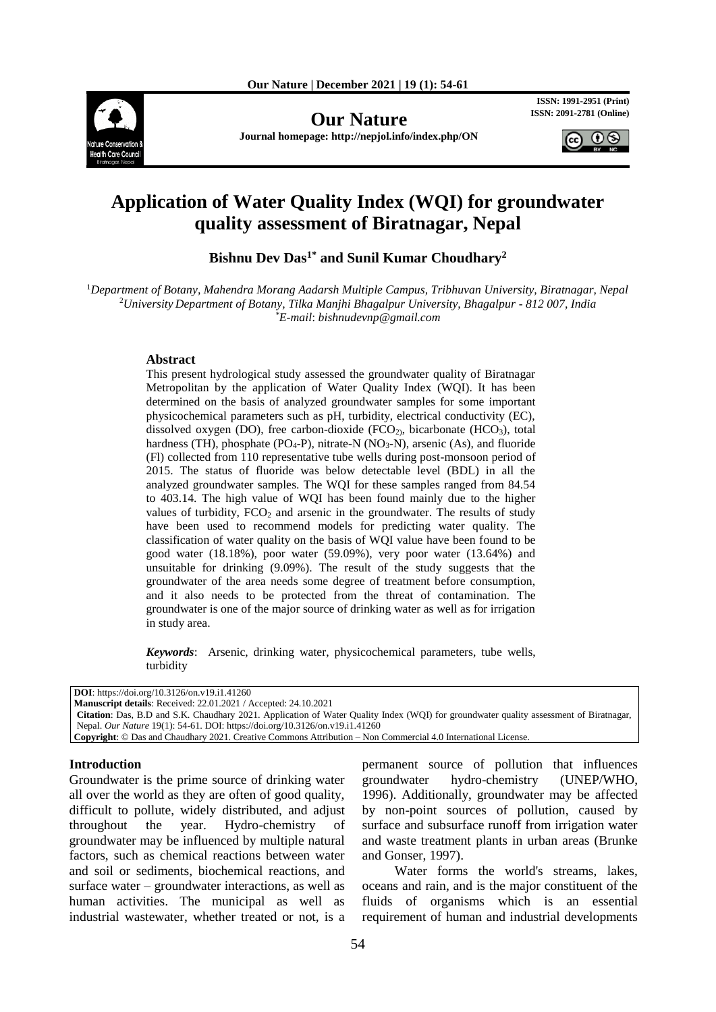

**Our Nature ISSN: 2091-2781 (Online)**

**Journal homepage: http://nepjol.info/index.php/ON**

**ISSN: 1991-2951 (Print)**



# **Application of Water Quality Index (WQI) for groundwater quality assessment of Biratnagar, Nepal**

**Bishnu Dev Das1\* and Sunil Kumar Choudhary<sup>2</sup>**

<sup>1</sup>*Department of Botany, Mahendra Morang Aadarsh Multiple Campus, Tribhuvan University, Biratnagar, Nepal* <sup>2</sup>*University Department of Botany, Tilka Manjhi Bhagalpur University, Bhagalpur - 812 007, India \*E-mail*: *[bishnudevnp@gmail.com](mailto:bishnudevnp@gmail.com)*

#### **Abstract**

This present hydrological study assessed the groundwater quality of Biratnagar Metropolitan by the application of Water Quality Index (WQI). It has been determined on the basis of analyzed groundwater samples for some important physicochemical parameters such as pH, turbidity, electrical conductivity (EC), dissolved oxygen (DO), free carbon-dioxide ( $FCO<sub>2</sub>$ ), bicarbonate ( $HCO<sub>3</sub>$ ), total hardness (TH), phosphate (PO<sub>4</sub>-P), nitrate-N (NO<sub>3</sub>-N), arsenic (As), and fluoride (Fl) collected from 110 representative tube wells during post-monsoon period of 2015. The status of fluoride was below detectable level (BDL) in all the analyzed groundwater samples. The WQI for these samples ranged from 84.54 to 403.14. The high value of WQI has been found mainly due to the higher values of turbidity,  $FCO<sub>2</sub>$  and arsenic in the groundwater. The results of study have been used to recommend models for predicting water quality. The classification of water quality on the basis of WQI value have been found to be good water (18.18%), poor water (59.09%), very poor water (13.64%) and unsuitable for drinking (9.09%). The result of the study suggests that the groundwater of the area needs some degree of treatment before consumption, and it also needs to be protected from the threat of contamination. The groundwater is one of the major source of drinking water as well as for irrigation in study area.

*Keywords*: Arsenic, drinking water, physicochemical parameters, tube wells, turbidity

**DOI**: https://doi.org/10.3126/on.v19.i1.41260

**Manuscript details**: Received: 22.01.2021 / Accepted: 24.10.2021 **Citation**: Das, B.D and S.K. Chaudhary 2021. Application of Water Quality Index (WQI) for groundwater quality assessment of Biratnagar, Nepal. *Our Nature* 19(1): 54-61. DOI: https://doi.org/10.3126/on.v19.i1.41260 **Copyright**: © Das and Chaudhary 2021. Creative Commons Attribution – Non Commercial 4.0 International License.

#### **Introduction**

Groundwater is the prime source of drinking water all over the world as they are often of good quality, difficult to pollute, widely distributed, and adjust throughout the year. Hydro-chemistry of groundwater may be influenced by multiple natural factors, such as chemical reactions between water and soil or sediments, biochemical reactions, and surface water – groundwater interactions, as well as human activities. The municipal as well as industrial wastewater, whether treated or not, is a permanent source of pollution that influences groundwater hydro-chemistry (UNEP/WHO, 1996). Additionally, groundwater may be affected by non-point sources of pollution, caused by surface and subsurface runoff from irrigation water and waste treatment plants in urban areas (Brunke and Gonser, 1997).

Water forms the world's streams, lakes, oceans and rain, and is the major constituent of the fluids of organisms which is an essential requirement of human and industrial developments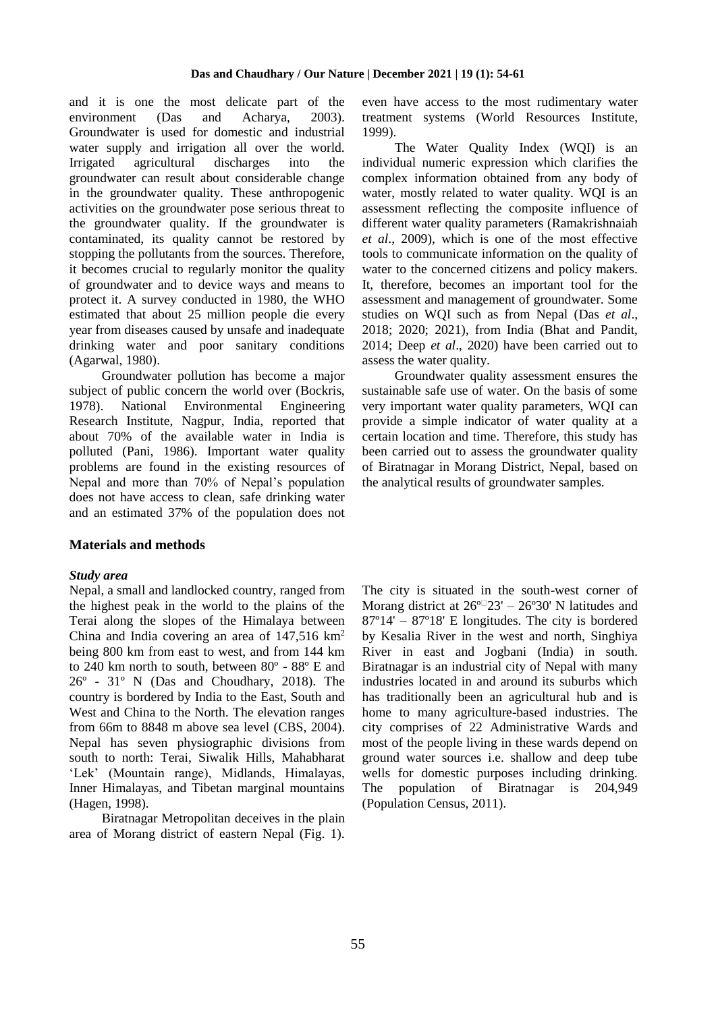and it is one the most delicate part of the environment (Das and Acharya, 2003). Groundwater is used for domestic and industrial water supply and irrigation all over the world. Irrigated agricultural discharges into the groundwater can result about considerable change in the groundwater quality. These anthropogenic activities on the groundwater pose serious threat to the groundwater quality. If the groundwater is contaminated, its quality cannot be restored by stopping the pollutants from the sources. Therefore, it becomes crucial to regularly monitor the quality of groundwater and to device ways and means to protect it. A survey conducted in 1980, the WHO estimated that about 25 million people die every year from diseases caused by unsafe and inadequate drinking water and poor sanitary conditions (Agarwal, 1980).

Groundwater pollution has become a major subject of public concern the world over (Bockris, 1978). National Environmental Engineering Research Institute, Nagpur, India, reported that about 70% of the available water in India is polluted (Pani, 1986). Important water quality problems are found in the existing resources of Nepal and more than 70% of Nepal's population does not have access to clean, safe drinking water and an estimated 37% of the population does not

## **Materials and methods**

#### *Study area*

Nepal, a small and landlocked country, ranged from the highest peak in the world to the plains of the Terai along the slopes of the Himalaya between China and India covering an area of 147,516 km<sup>2</sup> being 800 km from east to west, and from 144 km to 240 km north to south, between 80º - 88º E and 26º - 31º N (Das and Choudhary, 2018). The country is bordered by India to the East, South and West and China to the North. The elevation ranges from 66m to 8848 m above sea level (CBS, 2004). Nepal has seven physiographic divisions from south to north: Terai, Siwalik Hills, Mahabharat 'Lek' (Mountain range), Midlands, Himalayas, Inner Himalayas, and Tibetan marginal mountains (Hagen, 1998).

Biratnagar Metropolitan deceives in the plain area of Morang district of eastern Nepal (Fig. 1). even have access to the most rudimentary water treatment systems (World Resources Institute, 1999).

The Water Quality Index (WQI) is an individual numeric expression which clarifies the complex information obtained from any body of water, mostly related to water quality. WQI is an assessment reflecting the composite influence of different water quality parameters (Ramakrishnaiah *et al*., 2009), which is one of the most effective tools to communicate information on the quality of water to the concerned citizens and policy makers. It, therefore, becomes an important tool for the assessment and management of groundwater. Some studies on WQI such as from Nepal (Das *et al*., 2018; 2020; 2021), from India (Bhat and Pandit, 2014; Deep *et al*., 2020) have been carried out to assess the water quality.

Groundwater quality assessment ensures the sustainable safe use of water. On the basis of some very important water quality parameters, WQI can provide a simple indicator of water quality at a certain location and time. Therefore, this study has been carried out to assess the groundwater quality of Biratnagar in Morang District, Nepal, based on the analytical results of groundwater samples.

The city is situated in the south-west corner of Morang district at  $26^{\circ}$  23' – 26°30' N latitudes and 87º14' – 87º18' E longitudes. The city is bordered by Kesalia River in the west and north, Singhiya River in east and Jogbani (India) in south. Biratnagar is an industrial city of Nepal with many industries located in and around its suburbs which has traditionally been an agricultural hub and is home to many agriculture-based industries. The city comprises of 22 Administrative Wards and most of the people living in these wards depend on ground water sources i.e. shallow and deep tube wells for domestic purposes including drinking. The population of Biratnagar is 204,949 (Population Census, 2011).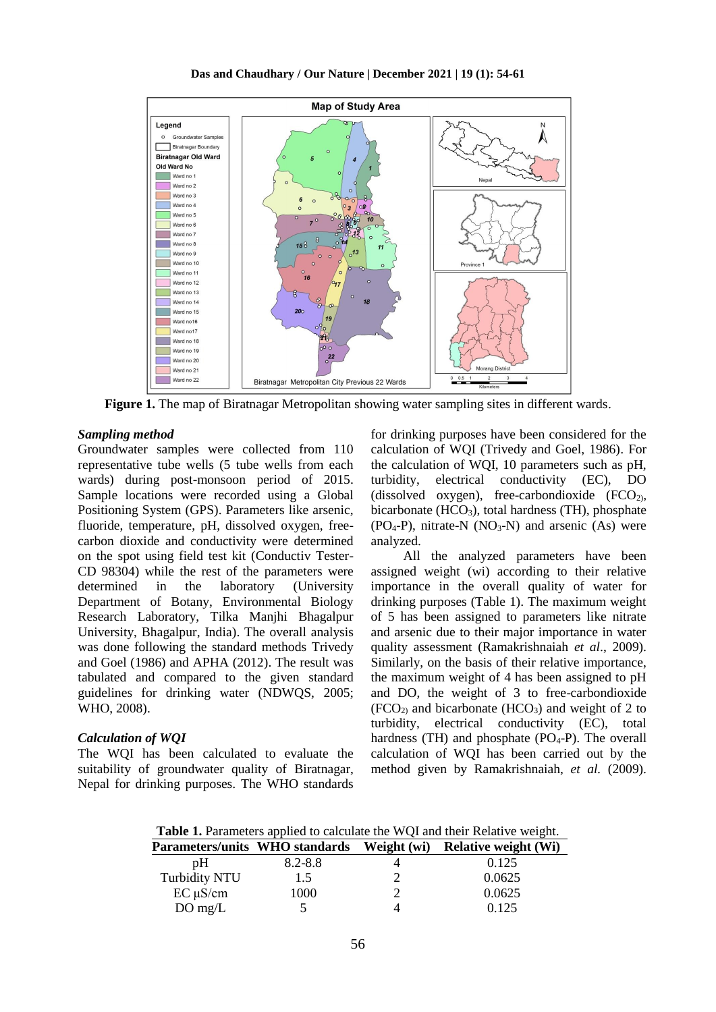

**Figure 1.** The map of Biratnagar Metropolitan showing water sampling sites in different wards.

#### *Sampling method*

Groundwater samples were collected from 110 representative tube wells (5 tube wells from each wards) during post-monsoon period of 2015. Sample locations were recorded using a Global Positioning System (GPS). Parameters like arsenic, fluoride, temperature, pH, dissolved oxygen, freecarbon dioxide and conductivity were determined on the spot using field test kit (Conductiv Tester-CD 98304) while the rest of the parameters were determined in the laboratory (University Department of Botany, Environmental Biology Research Laboratory, Tilka Manjhi Bhagalpur University, Bhagalpur, India). The overall analysis was done following the standard methods Trivedy and Goel (1986) and APHA (2012). The result was tabulated and compared to the given standard guidelines for drinking water (NDWQS, 2005; WHO, 2008).

#### *Calculation of WQI*

The WQI has been calculated to evaluate the suitability of groundwater quality of Biratnagar, Nepal for drinking purposes. The WHO standards

for drinking purposes have been considered for the calculation of WQI (Trivedy and Goel, 1986). For the calculation of WQI, 10 parameters such as pH, turbidity, electrical conductivity (EC), DO (dissolved oxygen), free-carbondioxide  $(FCO<sub>2</sub>)$ , bicarbonate  $(HCO<sub>3</sub>)$ , total hardness (TH), phosphate  $(PO<sub>4</sub>-P)$ , nitrate-N  $(NO<sub>3</sub>-N)$  and arsenic  $(As)$  were analyzed.

All the analyzed parameters have been assigned weight (wi) according to their relative importance in the overall quality of water for drinking purposes (Table 1). The maximum weight of 5 has been assigned to parameters like nitrate and arsenic due to their major importance in water quality assessment (Ramakrishnaiah *et al*., 2009). Similarly, on the basis of their relative importance, the maximum weight of 4 has been assigned to pH and DO, the weight of 3 to free-carbondioxide  $(FCO<sub>2</sub>)$  and bicarbonate  $(HCO<sub>3</sub>)$  and weight of 2 to turbidity, electrical conductivity (EC), total hardness  $(TH)$  and phosphate  $(PO_4-P)$ . The overall calculation of WQI has been carried out by the method given by Ramakrishnaiah, *et al.* (2009).

**Table 1.** Parameters applied to calculate the WQI and their Relative weight.

| Parameters/units WHO standards |         | Weight (wi) | <b>Relative weight (Wi)</b> |
|--------------------------------|---------|-------------|-----------------------------|
| pH                             | 8.2-8.8 |             | 0.125                       |
| <b>Turbidity NTU</b>           | 1.5     |             | 0.0625                      |
| $EC \mu S/cm$                  | 1000    |             | 0.0625                      |
| $DO$ mg/L                      |         |             | 0.125                       |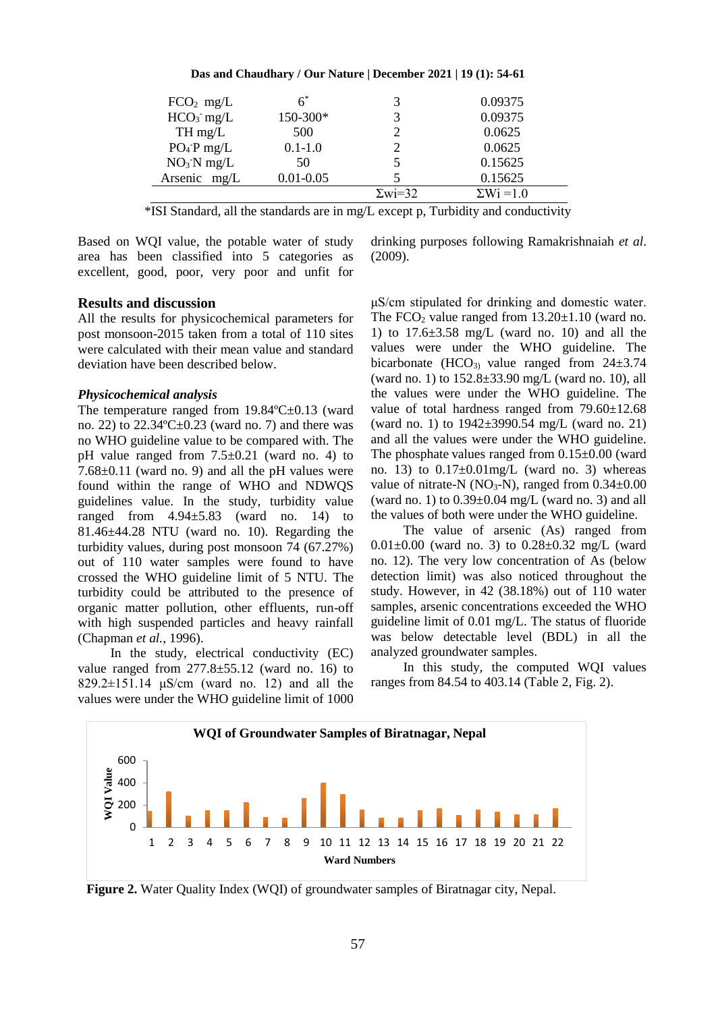| $FCO2$ mg/L    |               | 3              | 0.09375           |
|----------------|---------------|----------------|-------------------|
| $HCO3$ mg/L    | 150-300*      | 3              | 0.09375           |
| $TH$ mg/L      | 500           |                | 0.0625            |
| $PO_4$ -P mg/L | $0.1 - 1.0$   |                | 0.0625            |
| $NO3^-N$ mg/L  | 50            | 5              | 0.15625           |
| Arsenic mg/L   | $0.01 - 0.05$ |                | 0.15625           |
|                |               | $\Sigma$ wi=32 | $\Sigma Wi = 1.0$ |

\*ISI Standard, all the standards are in mg/L except p, Turbidity and conductivity

Based on WQI value, the potable water of study area has been classified into 5 categories as excellent, good, poor, very poor and unfit for

#### **Results and discussion**

All the results for physicochemical parameters for post monsoon-2015 taken from a total of 110 sites were calculated with their mean value and standard deviation have been described below.

#### *Physicochemical analysis*

The temperature ranged from 19.84°C±0.13 (ward no. 22) to  $22.34^{\circ}$ C $\pm$ 0.23 (ward no. 7) and there was no WHO guideline value to be compared with. The pH value ranged from  $7.5\pm0.21$  (ward no. 4) to  $7.68\pm0.11$  (ward no. 9) and all the pH values were found within the range of WHO and NDWQS guidelines value. In the study, turbidity value ranged from  $4.94 \pm 5.83$  (ward no. 14) to 81.46±44.28 NTU (ward no. 10). Regarding the turbidity values, during post monsoon 74 (67.27%) out of 110 water samples were found to have crossed the WHO guideline limit of 5 NTU. The turbidity could be attributed to the presence of organic matter pollution, other effluents, run-off with high suspended particles and heavy rainfall (Chapman *et al.*, 1996).

In the study, electrical conductivity (EC) value ranged from  $277.8 \pm 55.12$  (ward no. 16) to  $829.2 \pm 151.14$   $\mu$ S/cm (ward no. 12) and all the values were under the WHO guideline limit of 1000 drinking purposes following Ramakrishnaiah *et al*. (2009).

μS/cm stipulated for drinking and domestic water. The FCO<sub>2</sub> value ranged from  $13.20 \pm 1.10$  (ward no. 1) to  $17.6\pm3.58$  mg/L (ward no. 10) and all the values were under the WHO guideline. The bicarbonate (HCO<sub>3)</sub> value ranged from  $24\pm3.74$ (ward no. 1) to 152.8±33.90 mg/L (ward no. 10), all the values were under the WHO guideline. The value of total hardness ranged from 79.60±12.68 (ward no. 1) to 1942±3990.54 mg/L (ward no. 21) and all the values were under the WHO guideline. The phosphate values ranged from  $0.15\pm0.00$  (ward no. 13) to  $0.17\pm0.01$  mg/L (ward no. 3) whereas value of nitrate-N ( $NO<sub>3</sub>$ -N), ranged from  $0.34\pm0.00$ (ward no. 1) to  $0.39\pm0.04$  mg/L (ward no. 3) and all the values of both were under the WHO guideline.

The value of arsenic (As) ranged from 0.01±0.00 (ward no. 3) to 0.28±0.32 mg/L (ward no. 12). The very low concentration of As (below detection limit) was also noticed throughout the study. However, in 42 (38.18%) out of 110 water samples, arsenic concentrations exceeded the WHO guideline limit of 0.01 mg/L. The status of fluoride was below detectable level (BDL) in all the analyzed groundwater samples.

In this study, the computed WQI values ranges from 84.54 to 403.14 (Table 2, Fig. 2).



**Figure 2.** Water Quality Index (WQI) of groundwater samples of Biratnagar city, Nepal.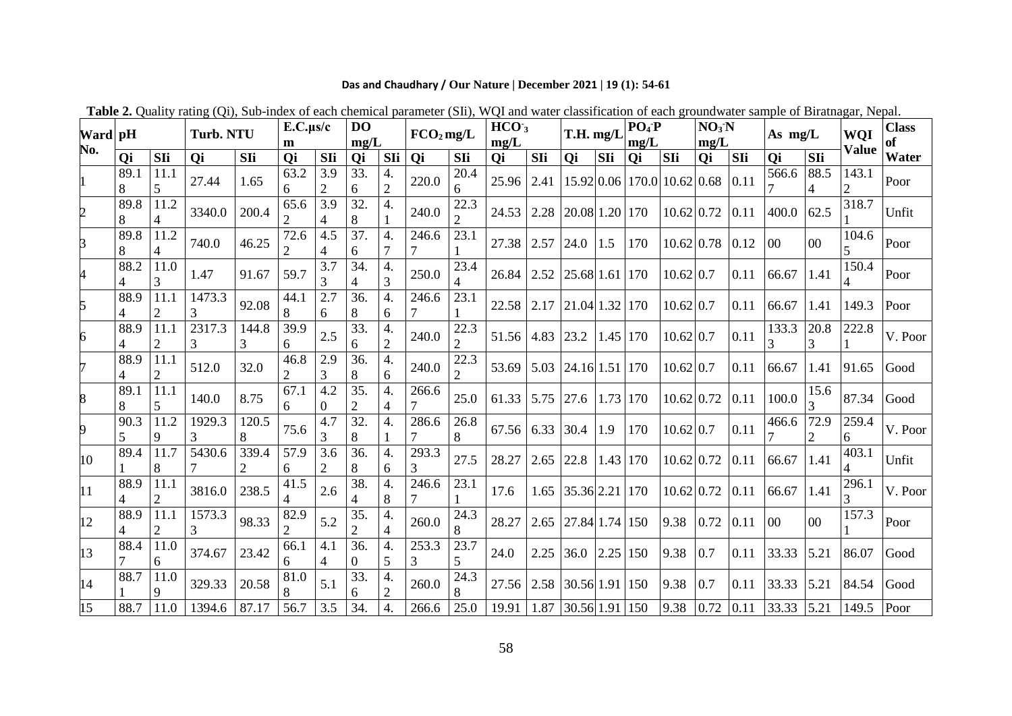# **Das and Chaudhary / Our Nature | December 2021 | 19 (1): 54-61**

| Ward pH          |           |           | <b>Turb. NTU</b> |            | $E.C.\mu s/c$<br>m     |                       | D <sub>O</sub><br>mg/L |                      | $FCO2$ mg/L |           | HCO <sub>3</sub><br>mg/L |      | T.H. mg/L      |      | $PO_4$ -P<br>mg/L |                   | NO <sub>3</sub> N<br>mg/L |              | As mg/L        |                  | WQI                     | <b>Class</b><br>of |
|------------------|-----------|-----------|------------------|------------|------------------------|-----------------------|------------------------|----------------------|-------------|-----------|--------------------------|------|----------------|------|-------------------|-------------------|---------------------------|--------------|----------------|------------------|-------------------------|--------------------|
| No.              | Qi        | SIi       | Qi               | SIi        | Qi                     | SIi                   | Qi                     | SIi                  | Qi          | SIi       | <b>Oi</b>                | SIi  | <b>Oi</b>      | SIi  | Oi                | SIi               | <b>Qi</b>                 | SIi          | <b>Oi</b>      | $\overline{SIi}$ | <b>Value</b>            | Water              |
|                  | 89.1<br>8 | 11.1      | 27.44            | 1.65       | 63.2<br>6              | 3.9<br>2              | 33.<br>6               | 4.<br>$\overline{2}$ | 220.0       | 20.4<br>6 | 25.96                    | 2.41 | 15.92 0.06     |      |                   | 170.0 10.62 0.68  |                           | $\vert$ 0.11 | 566.6          | 88.5             | 143.1<br>$\overline{2}$ | Poor               |
| 2                | 89.8<br>8 | 11.2      | 3340.0           | 200.4      | 65.6<br>$\overline{2}$ | 3.9                   | 32<br>8                | 4.                   | 240.0       | 22.3      | 24.53                    | 2.28 | 20.08 1.20     |      | 170               | $10.62 \mid 0.72$ |                           | 0.11         | 400.0          | 62.5             | 318.7                   | Unfit              |
| 3                | 89.8<br>8 | 11.2      | 740.0            | 46.25      | 72.6                   | 4.5                   | 37.<br>6               | 4.                   | 246.6       | 23.1      | 27.38                    | 2.57 | 24.0           | 1.5  | 170               | $10.62 \mid 0.78$ |                           | 0.12         | 0 <sub>0</sub> | 00               | 104.6<br>5              | Poor               |
| 4                | 88.2<br>4 | 11.0      | 1.47             | 91.67      | 59.7                   | 3.7                   | 34.<br>4               | 4.<br>3              | 250.0       | 23.4      | 26.84                    | 2.52 | $25.68$ 1.61   |      | 170               | $10.62 \mid 0.7$  |                           | 0.11         | 66.67          | 1.41             | 150.4                   | Poor               |
| 5                | 88.9      | 11.1      | 1473.3           | 92.08      | 44.1<br>8              | 2.7<br>6              | 36.<br>8               | 4.<br>6              | 246.6       | 23.1      | 22.58                    | 2.17 | 21.04 1.32     |      | 170               | $10.62 \mid 0.7$  |                           | 0.11         | 66.67          | 1.41             | 149.3                   | Poor               |
| 6                | 88.9      | 11.1      | 2317.3<br>3      | 144.8<br>3 | 39.9<br>6              | 2.5                   | 33.<br>6               | 4.<br>$\overline{2}$ | 240.0       | 22.3      | 51.56                    | 4.83 | 23.2           | 1.45 | 170               | $10.62 \mid 0.7$  |                           | 0.11         | 133.3          | 20.8             | 222.8                   | V. Poor            |
|                  | 88.9<br>4 | 11.1      | 512.0            | 32.0       | 46.8<br>$\overline{2}$ | 2.9<br>3              | 36.<br>8               | 4.<br>6              | 240.0       | 22.3<br>2 | 53.69                    | 5.03 | $24.16$ 1.51   |      | 170               | 10.62 0.7         |                           | 0.11         | 66.67          | 1.41             | 91.65                   | Good               |
| 8                | 89.1      | 11.1      | 140.0            | 8.75       | 67.1<br>6              | 4.2<br>0              | 35.<br>2               | 4.                   | 266.6       | 25.0      | 61.33                    | 5.75 | 27.6           | 1.73 | 170               | $10.62 \mid 0.72$ |                           | 0.11         | 100.0          | 15.6             | 87.34                   | Good               |
| 9                | 90.3<br>5 | 11.2      | 1929.3           | 120.5<br>8 | 75.6                   | 4.7<br>3              | 32.<br>8               | 4.                   | 286.6<br>7  | 26.8<br>8 | 67.56                    | 6.33 | 30.4           | 1.9  | 170               | $10.62 \mid 0.7$  |                           | 0.11         | 466.6          | 72.9             | 259.4<br>6              | V. Poor            |
| 10 <sup>10</sup> | 89.4      | 11.7<br>8 | 5430.6           | 339.4      | 57.9<br>6              | 3.6<br>$\overline{2}$ | 36.<br>8               | 4.<br>6              | 293.3<br>3  | 27.5      | 28.27                    | 2.65 | 22.8           | 1.43 | 170               | $10.62 \mid 0.72$ |                           | 0.11         | 66.67          | 1.41             | 403.1                   | Unfit              |
| 11               | 88.9      | 11.1      | 3816.0           | 238.5      | 41.5<br>$\overline{4}$ | 2.6                   | 38.<br>4               | 4.<br>8              | 246.6       | 23.1      | 17.6                     | 1.65 | $35.36$ 2.21   |      | 170               | $10.62 \mid 0.72$ |                           | 0.11         | 66.67          | 1.41             | 296.1<br>3              | V. Poor            |
| 12               | 88.9      | 11.1      | 1573.3<br>3      | 98.33      | 82.9                   | 5.2                   | 35.                    | 4.<br>4              | 260.0       | 24.3<br>8 | 28.27                    | 2.65 | 27.84 1.74     |      | 150               | 9.38              | 0.72                      | 0.11         | 0 <sub>0</sub> | 00               | 157.3                   | Poor               |
| 13               | 88.4      | 11.0<br>6 | 374.67           | 23.42      | 66.1<br>6              | 4.1<br>4              | 36.<br>$\overline{0}$  | 4.<br>5              | 253.3<br>3  | 23.7<br>5 | 24.0                     | 2.25 | 36.0           | 2.25 | 150               | 9.38              | 0.7                       | 0.11         | 33.33          | 5.21             | 86.07                   | Good               |
| 14               | 88.7      | 11.0      | 329.33           | 20.58      | 81.0<br>8              | 5.1                   | 33.<br>6               | 4.<br>$\overline{2}$ | 260.0       | 24.3<br>8 | 27.56                    | 2.58 | 30.56 1.91     |      | 150               | 9.38              | 0.7                       | 0.11         | 33.33          | 5.21             | 84.54                   | Good               |
| 15               | 88.7      | 11.0      | 1394.6           | 87.17      | 56.7                   | 3.5                   | 34.                    | 4.                   | 266.6       | 25.0      | 19.91                    | 1.87 | 30.56 1.91 150 |      |                   | 9.38              | 0.72                      | 0.11         | 33.33          | 5.21             | 149.5                   | Poor               |

**Table 2.** Quality rating (Qi), Sub-index of each chemical parameter (SIi), WQI and water classification of each groundwater sample of Biratnagar, Nepal.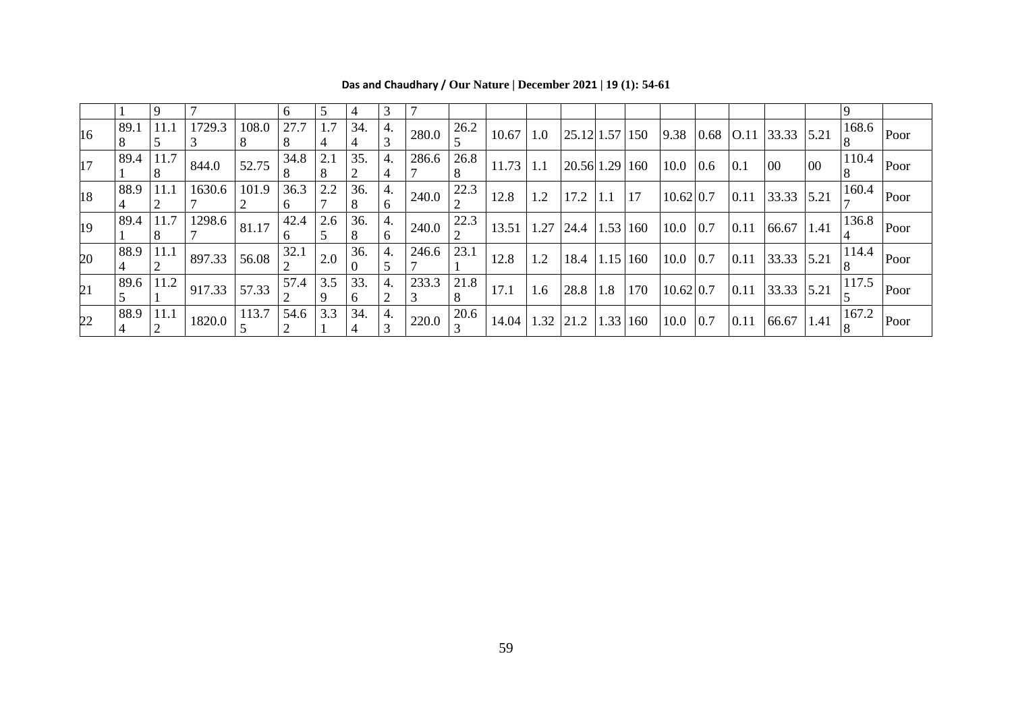| 16 | 89.1 |      | $11.1$   1729.3                                                          | 108.0 | 27.7               | 1.7 | 34.      | 4. | 280.0                                                   | 26.2 | $10.67$ 1.0                                                           |     |              |          |     |                                                                     |      |                                                                  |    | $\left  \frac{25.12}{1.57} \right  150 \left  9.38 \right  0.68 \left  0.11 \right  33.33 \left  5.21 \right  168.6 \left  0.001 \right $ |                                        |
|----|------|------|--------------------------------------------------------------------------|-------|--------------------|-----|----------|----|---------------------------------------------------------|------|-----------------------------------------------------------------------|-----|--------------|----------|-----|---------------------------------------------------------------------|------|------------------------------------------------------------------|----|-------------------------------------------------------------------------------------------------------------------------------------------|----------------------------------------|
| 17 | 89.4 | 11.7 | 844.0                                                                    | 52.75 | 34.8               | 2.1 | 35.      | 4. | 286.6                                                   | 26.8 | $\vert$ 11.73 $\vert$ 1.1 $\vert$ 20.56 1.29   160   10.0   0.6   0.1 |     |              |          |     |                                                                     |      | $00\,$                                                           | 00 |                                                                                                                                           | $\left  \overline{110.4} \right $ Poor |
| 18 | 88.9 | 11.1 | 1630.6                                                                   | 101.9 | 36.3               | 2.2 | 36.      | 4. | 240.0                                                   | 22.3 | 12.8                                                                  |     |              |          |     | $\begin{bmatrix} 1.2 & 17.2 & 1.1 & 17 & 10.62 & 0.7 \end{bmatrix}$ |      | $\vert 0.11 \vert 33.33 \vert 5.21 \vert \frac{10}{7}$           |    |                                                                                                                                           | $\sqrt{160.4}$ $ _{\text{Poor}}$       |
| 19 | 89.4 | 11.7 | $\frac{1298.6}{2}$ 81.17                                                 |       | 42.4               | 2.6 | 36.      | 4. | 240.0                                                   | 22.3 | $\vert 13.51 \vert 1.27 \vert 24.4 \vert 1.53 \vert 160 \vert$        |     |              |          |     |                                                                     |      | $\begin{bmatrix} 10.0 & 0.7 & 0.11 & 66.67 & 1.41 \end{bmatrix}$ |    | $\begin{array}{c c} 136.8 \\ 4 \end{array}$ Poor                                                                                          |                                        |
| 20 | 88.9 |      | $\left  \frac{11.1}{11.1} \right $ 897.33                                | 56.08 | 32.1               | 2.0 | 36.      | 4. | 246.6                                                   | 23.1 | 12.8                                                                  |     |              |          |     |                                                                     |      |                                                                  |    | $\frac{1.2}{\sqrt{12}}$ 18.4 1.15 160 10.0 0.7 0.11 33.33 5.21 $\frac{114.4}{\sqrt{12}}$ Poor                                             |                                        |
| 21 | 89.6 |      | $\begin{array}{ c c c c c c } \hline 11.2 & 917.33 \\\hline \end{array}$ | 57.33 | $\frac{1}{2}$ 57.4 | 3.5 | 33.<br>6 | 4. | 233.3                                                   | 21.8 | 17.1                                                                  | 1.6 | $28.8$   1.8 |          | 170 | $10.62 \,   0.7$                                                    | 0.11 |                                                                  |    | 33.33 5.21 $\frac{117.5}{5}$ Poor                                                                                                         |                                        |
| 22 | 88.9 | 11.1 | $\left  \frac{1820.0}{5} \right  \frac{113.7}{5}$                        |       | 54.6<br>$\vert$ 2  | 3.3 | 34.      |    | $\begin{bmatrix} 4. \\ 220.0 \\ 3 \end{bmatrix}$ $20.0$ |      | $_0$ $\sqrt{20.6}$   14.04   1.32   21.2   '                          |     |              | 1.33 160 |     | $10.0 \,   \, 0.7$                                                  |      |                                                                  |    | $\left  0.11 \right  66.67 \left  1.41 \right  \left  \frac{167.2}{8} \right $ Poor                                                       |                                        |

**Das and Chaudhary / Our Nature | December 2021 | 19 (1): 54-61**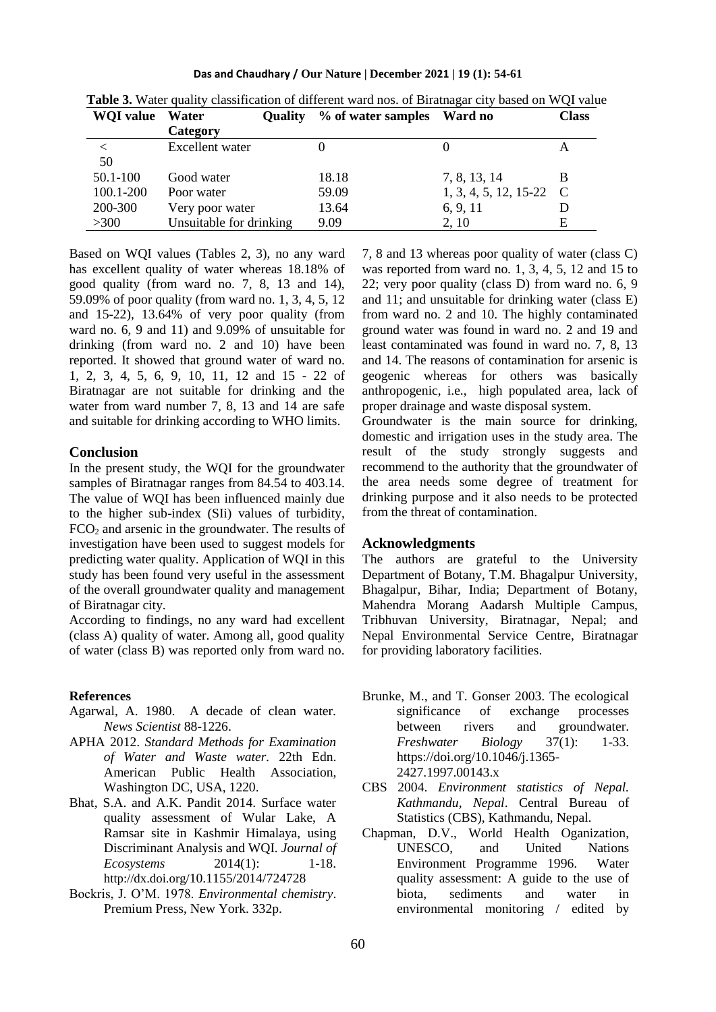**Das and Chaudhary / Our Nature | December 2021 | 19 (1): 54-61**

| <b>WQI</b> value | Water                   | <b>Ouality</b> | % of water samples | Ward no                 | <b>Class</b>  |
|------------------|-------------------------|----------------|--------------------|-------------------------|---------------|
|                  | Category                |                |                    |                         |               |
|                  | Excellent water         |                |                    |                         | А             |
| 50               |                         |                |                    |                         |               |
| 50.1-100         | Good water              |                | 18.18              | 7, 8, 13, 14            | В             |
| 100.1-200        | Poor water              |                | 59.09              | $1, 3, 4, 5, 12, 15-22$ | $\mathcal{C}$ |
| 200-300          | Very poor water         |                | 13.64              | 6, 9, 11                |               |
| >300             | Unsuitable for drinking |                | 9.09               | 2.10                    | Е             |

**Table 3.** Water quality classification of different ward nos. of Biratnagar city based on WQI value

Based on WQI values (Tables 2, 3), no any ward has excellent quality of water whereas 18.18% of good quality (from ward no. 7, 8, 13 and 14), 59.09% of poor quality (from ward no. 1, 3, 4, 5, 12 and 15-22), 13.64% of very poor quality (from ward no. 6, 9 and 11) and 9.09% of unsuitable for drinking (from ward no. 2 and 10) have been reported. It showed that ground water of ward no. 1, 2, 3, 4, 5, 6, 9, 10, 11, 12 and 15 - 22 of Biratnagar are not suitable for drinking and the water from ward number 7, 8, 13 and 14 are safe and suitable for drinking according to WHO limits.

## **Conclusion**

In the present study, the WQI for the groundwater samples of Biratnagar ranges from 84.54 to 403.14. The value of WQI has been influenced mainly due to the higher sub-index (SIi) values of turbidity,  $FCO<sub>2</sub>$  and arsenic in the groundwater. The results of investigation have been used to suggest models for predicting water quality. Application of WQI in this study has been found very useful in the assessment of the overall groundwater quality and management of Biratnagar city.

According to findings, no any ward had excellent (class A) quality of water. Among all, good quality of water (class B) was reported only from ward no.

## **References**

- Agarwal, A. 1980. A decade of clean water. *News Scientist* 88-1226.
- APHA 2012. *Standard Methods for Examination of Water and Waste water.* 22th Edn. American Public Health Association, Washington DC, USA, 1220.
- Bhat, S.A. and A.K. Pandit 2014. Surface water quality assessment of Wular Lake, A Ramsar site in Kashmir Himalaya, using Discriminant Analysis and WQI. *Journal of Ecosystems* 2014(1): 1-18. http://dx.doi.org/10.1155/2014/724728
- Bockris, J. O'M. 1978. *Environmental chemistry*. Premium Press, New York. 332p.

7, 8 and 13 whereas poor quality of water (class C) was reported from ward no. 1, 3, 4, 5, 12 and 15 to 22; very poor quality (class D) from ward no. 6, 9 and 11; and unsuitable for drinking water (class E) from ward no. 2 and 10. The highly contaminated ground water was found in ward no. 2 and 19 and least contaminated was found in ward no. 7, 8, 13 and 14. The reasons of contamination for arsenic is geogenic whereas for others was basically anthropogenic, i.e., high populated area, lack of proper drainage and waste disposal system.

Groundwater is the main source for drinking, domestic and irrigation uses in the study area. The result of the study strongly suggests and recommend to the authority that the groundwater of the area needs some degree of treatment for drinking purpose and it also needs to be protected from the threat of contamination.

#### **Acknowledgments**

The authors are grateful to the University Department of Botany, T.M. Bhagalpur University, Bhagalpur, Bihar, India; Department of Botany, Mahendra Morang Aadarsh Multiple Campus, Tribhuvan University, Biratnagar, Nepal; and Nepal Environmental Service Centre, Biratnagar for providing laboratory facilities.

- Brunke, M., and T. Gonser 2003. The ecological significance of exchange processes between rivers and groundwater. *Freshwater Biology* 37(1): 1-33. [https://doi.org/10.1046/j.1365-](https://doi.org/10.1046/j.1365-2427.1997.00143.x) [2427.1997.00143.x](https://doi.org/10.1046/j.1365-2427.1997.00143.x)
- CBS 2004. *Environment statistics of Nepal. Kathmandu, Nepal*. Central Bureau of Statistics (CBS), Kathmandu, Nepal.
- Chapman, D.V., World Health Oganization, UNESCO, and United Nations Environment Programme 1996. Water quality assessment: A guide to the use of biota, sediments and water in environmental monitoring / edited by